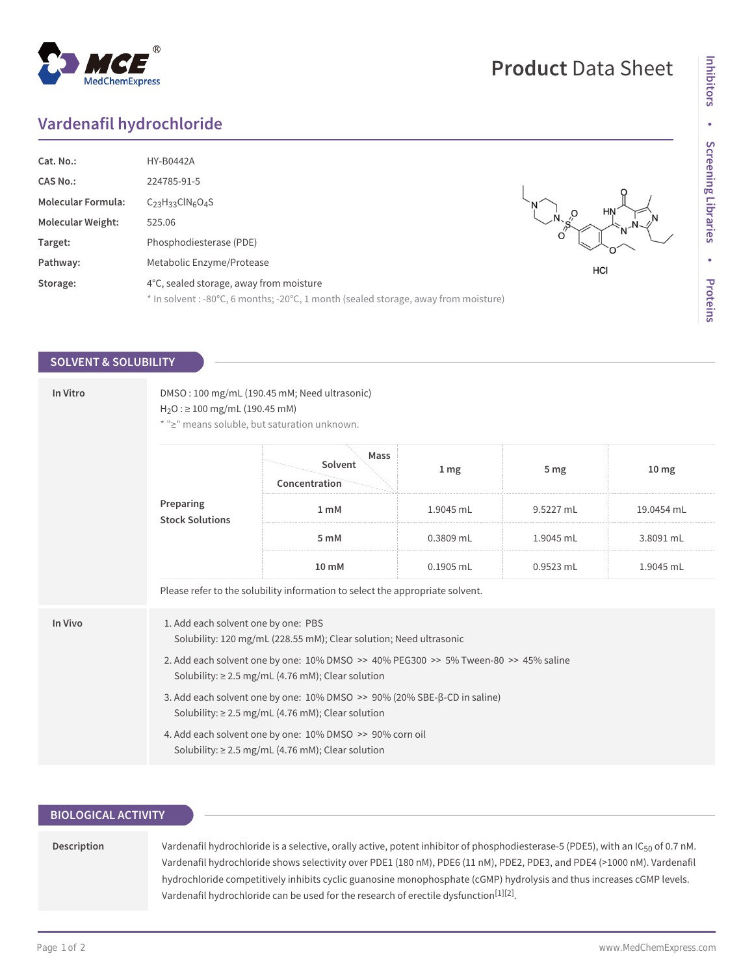# **Vardenafil hydrochloride**

| Cat. No.:                 | <b>HY-B0442A</b>                                                                    |     |
|---------------------------|-------------------------------------------------------------------------------------|-----|
| <b>CAS No.:</b>           | 224785-91-5                                                                         |     |
| <b>Molecular Formula:</b> | $C_{23}H_{33}CIN_6O_4S$                                                             | HN  |
| <b>Molecular Weight:</b>  | 525.06                                                                              |     |
| Target:                   | Phosphodiesterase (PDE)                                                             |     |
| Pathway:                  | Metabolic Enzyme/Protease                                                           | HCI |
| Storage:                  | 4°C, sealed storage, away from moisture                                             |     |
|                           | * In solvent : -80°C, 6 months; -20°C, 1 month (sealed storage, away from moisture) |     |

## **SOLVENT & SOLUBILITY**

| In Vitro | DMSO: 100 mg/mL (190.45 mM; Need ultrasonic)<br>$H_2O$ : $\geq$ 100 mg/mL (190.45 mM)<br>* ">" means soluble, but saturation unknown.                                                            |                                  |                 |                 |                  |  |
|----------|--------------------------------------------------------------------------------------------------------------------------------------------------------------------------------------------------|----------------------------------|-----------------|-----------------|------------------|--|
|          | Preparing<br><b>Stock Solutions</b>                                                                                                                                                              | Mass<br>Solvent<br>Concentration | 1 <sub>mg</sub> | 5 <sub>mg</sub> | 10 <sub>mg</sub> |  |
|          |                                                                                                                                                                                                  | 1 <sub>m</sub> M                 | 1.9045 mL       | 9.5227 mL       | 19.0454 mL       |  |
|          |                                                                                                                                                                                                  | 5 mM                             | 0.3809 mL       | 1.9045 mL       | 3.8091 mL        |  |
|          |                                                                                                                                                                                                  | 10 mM                            | 0.1905 mL       | 0.9523 mL       | 1.9045 mL        |  |
|          | Please refer to the solubility information to select the appropriate solvent.                                                                                                                    |                                  |                 |                 |                  |  |
| In Vivo  | 1. Add each solvent one by one: PBS<br>Solubility: 120 mg/mL (228.55 mM); Clear solution; Need ultrasonic<br>2. Add each solvent one by one: 10% DMSO >> 40% PEG300 >> 5% Tween-80 >> 45% saline |                                  |                 |                 |                  |  |
|          | Solubility: $\geq$ 2.5 mg/mL (4.76 mM); Clear solution<br>3. Add each solvent one by one: 10% DMSO >> 90% (20% SBE-β-CD in saline)                                                               |                                  |                 |                 |                  |  |
|          | Solubility: $\geq$ 2.5 mg/mL (4.76 mM); Clear solution                                                                                                                                           |                                  |                 |                 |                  |  |
|          | 4. Add each solvent one by one: 10% DMSO >> 90% corn oil<br>Solubility: $\geq$ 2.5 mg/mL (4.76 mM); Clear solution                                                                               |                                  |                 |                 |                  |  |

## **BIOLOGICAL ACTIVITY**

Description Vardenafil hydrochloride is a selective, orally active, potent inhibitor of phosphodiesterase-5 (PDE5), with an IC<sub>50</sub> of 0.7 nM. Vardenafil hydrochloride shows selectivity over PDE1 (180 nM), PDE6 (11 nM), PDE2, PDE3, and PDE4 (>1000 nM). Vardenafil hydrochloride competitively inhibits cyclic guanosine monophosphate (cGMP) hydrolysis and thus increases cGMP levels. Vardenafil hydrochloride can be used for the research of erectile dysfunction $^{[1][2]}.$ 

## **Product** Data Sheet